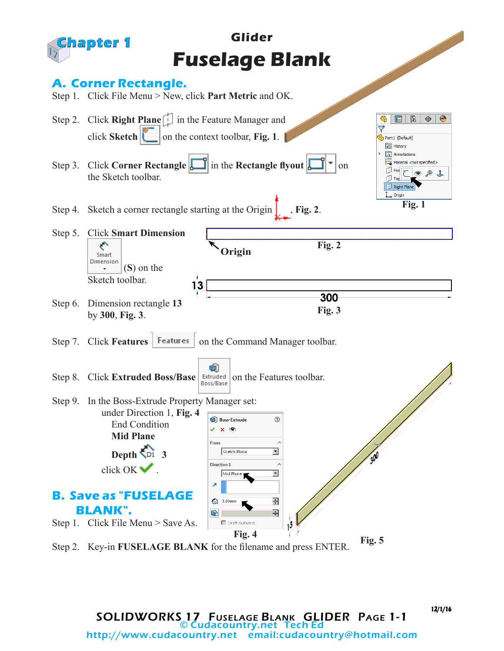

12/1/16